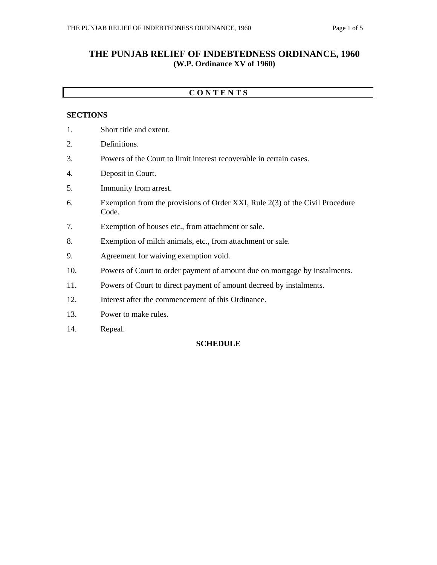## **THE PUNJAB RELIEF OF INDEBTEDNESS ORDINANCE, 1960 (W.P. Ordinance XV of 1960)**

### **C O N T E N T S**

#### **SECTIONS**

- 1. Short title and extent.
- 2. Definitions.
- 3. Powers of the Court to limit interest recoverable in certain cases.
- 4. Deposit in Court.
- 5. Immunity from arrest.
- 6. Exemption from the provisions of Order XXI, Rule 2(3) of the Civil Procedure Code.
- 7. Exemption of houses etc., from attachment or sale.
- 8. Exemption of milch animals, etc., from attachment or sale.
- 9. Agreement for waiving exemption void.
- 10. Powers of Court to order payment of amount due on mortgage by instalments.
- 11. Powers of Court to direct payment of amount decreed by instalments.
- 12. Interest after the commencement of this Ordinance.
- 13. Power to make rules.
- 14. Repeal.

#### **SCHEDULE**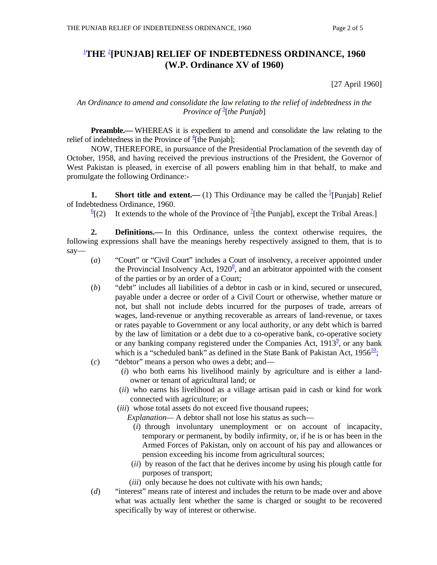# 1 **THE** <sup>2</sup> **[PUNJAB] RELIEF OF INDEBTEDNESS ORDINANCE, 1960 (W.P. Ordinance XV of 1960)**

[27 April 1960]

### *An Ordinance to amend and consolidate the law relating to the relief of indebtedness in the*  **Province of** <sup>3</sup>[the Punjab]

**Preamble.—** WHEREAS it is expedient to amend and consolidate the law relating to the relief of indebtedness in the Province of  $\frac{4}{1}$  [the Punjab];

 NOW, THEREFORE, in pursuance of the Presidential Proclamation of the seventh day of October, 1958, and having received the previous instructions of the President, the Governor of West Pakistan is pleased, in exercise of all powers enabling him in that behalf, to make and promulgate the following Ordinance:-

**1.** Short title and extent.— (1) This Ordinance may be called the  $\frac{5}{2}$ [Punjab] Relief of Indebtedness Ordinance, 1960.

 $\frac{6}{2}$ [(2) [(2) It extends to the whole of the Province of  $\frac{1}{2}$ [the Punjab], except the Tribal Areas.]

 **2. Definitions.—** In this Ordinance, unless the context otherwise requires, the following expressions shall have the meanings hereby respectively assigned to them, that is to say—

- (*a*) "Court" or "Civil Court" includes a Court of insolvency, a receiver appointed under the Provincial Insolvency Act,  $1920^8$ , and an arbitrator appointed with the consent of the parties or by an order of a Court;
- (*b*) "debt" includes all liabilities of a debtor in cash or in kind, secured or unsecured, payable under a decree or order of a Civil Court or otherwise, whether mature or not, but shall not include debts incurred for the purposes of trade, arrears of wages, land-revenue or anything recoverable as arrears of land-revenue, or taxes or rates payable to Government or any local authority, or any debt which is barred by the law of limitation or a debt due to a co-operative bank, co-operative society or any banking company registered under the Companies Act,  $1913^2$ , or any bank which is a "scheduled bank" as defined in the State Bank of Pakistan Act,  $1956\frac{10}{1}$ ;
- (*c*) "debtor" means a person who owes a debt; and—
	- (*i*) who both earns his livelihood mainly by agriculture and is either a landowner or tenant of agricultural land; or
	- (*ii*) who earns his livelihood as a village artisan paid in cash or kind for work connected with agriculture; or
	- (*iii*) whose total assets do not exceed five thousand rupees;
		- *Explanation—* A debtor shall not lose his status as such—
			- (*i*) through involuntary unemployment or on account of incapacity, temporary or permanent, by bodily infirmity, or, if he is or has been in the Armed Forces of Pakistan, only on account of his pay and allowances or pension exceeding his income from agricultural sources;
			- (*ii*) by reason of the fact that he derives income by using his plough cattle for purposes of transport;
			- (*iii*) only because he does not cultivate with his own hands;
- (*d*) "interest" means rate of interest and includes the return to be made over and above what was actually lent whether the same is charged or sought to be recovered specifically by way of interest or otherwise.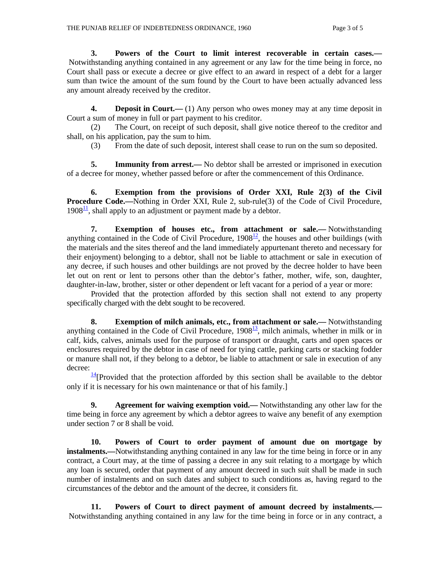**3. Powers of the Court to limit interest recoverable in certain cases.—** Notwithstanding anything contained in any agreement or any law for the time being in force, no Court shall pass or execute a decree or give effect to an award in respect of a debt for a larger sum than twice the amount of the sum found by the Court to have been actually advanced less any amount already received by the creditor.

**4. Deposit in Court.**—(1) Any person who owes money may at any time deposit in Court a sum of money in full or part payment to his creditor.

 (2) The Court, on receipt of such deposit, shall give notice thereof to the creditor and shall, on his application, pay the sum to him.

(3) From the date of such deposit, interest shall cease to run on the sum so deposited.

**5.** Immunity from arrest.— No debtor shall be arrested or imprisoned in execution of a decree for money, whether passed before or after the commencement of this Ordinance.

 **6. Exemption from the provisions of Order XXI, Rule 2(3) of the Civil Procedure Code.—**Nothing in Order XXI, Rule 2, sub-rule(3) of the Code of Civil Procedure,  $1908<sup>11</sup>$ , shall apply to an adjustment or payment made by a debtor.

 **7. Exemption of houses etc., from attachment or sale.—** Notwithstanding anything contained in the Code of Civil Procedure,  $1908^{\frac{12}{2}}$ , the houses and other buildings (with the materials and the sites thereof and the land immediately appurtenant thereto and necessary for their enjoyment) belonging to a debtor, shall not be liable to attachment or sale in execution of any decree, if such houses and other buildings are not proved by the decree holder to have been let out on rent or lent to persons other than the debtor's father, mother, wife, son, daughter, daughter-in-law, brother, sister or other dependent or left vacant for a period of a year or more:

 Provided that the protection afforded by this section shall not extend to any property specifically charged with the debt sought to be recovered.

 **8. Exemption of milch animals, etc., from attachment or sale.—** Notwithstanding anything contained in the Code of Civil Procedure,  $1908<sup>13</sup>$ , milch animals, whether in milk or in calf, kids, calves, animals used for the purpose of transport or draught, carts and open spaces or enclosures required by the debtor in case of need for tying cattle, parking carts or stacking fodder or manure shall not, if they belong to a debtor, be liable to attachment or sale in execution of any decree:

 $\frac{14}{14}$ [Provided that the protection afforded by this section shall be available to the debtor only if it is necessary for his own maintenance or that of his family.]

 **9. Agreement for waiving exemption void.—** Notwithstanding any other law for the time being in force any agreement by which a debtor agrees to waive any benefit of any exemption under section 7 or 8 shall be void.

 **10. Powers of Court to order payment of amount due on mortgage by instalments.**—Notwithstanding anything contained in any law for the time being in force or in any contract, a Court may, at the time of passing a decree in any suit relating to a mortgage by which any loan is secured, order that payment of any amount decreed in such suit shall be made in such number of instalments and on such dates and subject to such conditions as, having regard to the circumstances of the debtor and the amount of the decree, it considers fit.

 **11. Powers of Court to direct payment of amount decreed by instalments.—** Notwithstanding anything contained in any law for the time being in force or in any contract, a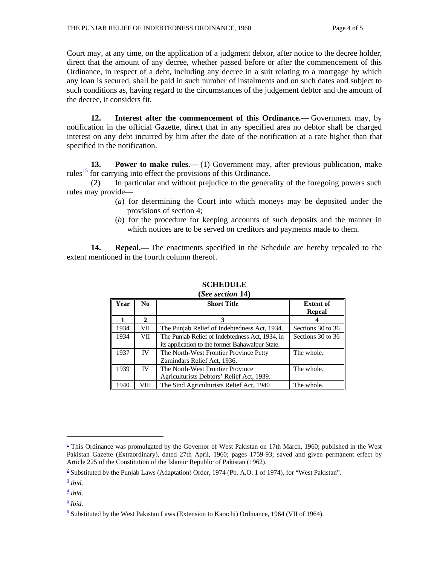Court may, at any time, on the application of a judgment debtor, after notice to the decree holder, direct that the amount of any decree, whether passed before or after the commencement of this Ordinance, in respect of a debt, including any decree in a suit relating to a mortgage by which any loan is secured, shall be paid in such number of instalments and on such dates and subject to such conditions as, having regard to the circumstances of the judgement debtor and the amount of the decree, it considers fit.

 **12. Interest after the commencement of this Ordinance.—** Government may, by notification in the official Gazette, direct that in any specified area no debtor shall be charged interest on any debt incurred by him after the date of the notification at a rate higher than that specified in the notification.

**13.** Power to make rules.—(1) Government may, after previous publication, make rules $\frac{15}{15}$  for carrying into effect the provisions of this Ordinance.

 (2) In particular and without prejudice to the generality of the foregoing powers such rules may provide—

- (*a*) for determining the Court into which moneys may be deposited under the provisions of section 4;
- (*b*) for the procedure for keeping accounts of such deposits and the manner in which notices are to be served on creditors and payments made to them.

**14. Repeal.**— The enactments specified in the Schedule are hereby repealed to the extent mentioned in the fourth column thereof.

| Year | No.                   | <b>Short Title</b>                              | <b>Extent of</b>  |
|------|-----------------------|-------------------------------------------------|-------------------|
|      |                       |                                                 | <b>Repeal</b>     |
|      | $\mathcal{D}_{\cdot}$ |                                                 |                   |
| 1934 | VII                   | The Punjab Relief of Indebtedness Act, 1934.    | Sections 30 to 36 |
| 1934 | VII                   | The Punjab Relief of Indebtedness Act, 1934, in | Sections 30 to 36 |
|      |                       | its application to the former Bahawalpur State. |                   |
| 1937 | <b>IV</b>             | The North-West Frontier Province Petty          | The whole.        |
|      |                       | Zamindars Relief Act, 1936.                     |                   |
| 1939 | IV                    | The North-West Frontier Province                | The whole.        |
|      |                       | Agriculturists Debtors' Relief Act, 1939.       |                   |
| 1940 | VIII                  | The Sind Agriculturists Relief Act, 1940        | The whole.        |

#### **SCHEDULE (***See section* **14)**

\_\_\_\_\_\_\_\_\_\_\_\_\_\_\_\_\_\_\_\_

 $\overline{a}$ 

 $\frac{5}{2}$  *Ibid.* 

 $\frac{1}{2}$  This Ordinance was promulgated by the Governor of West Pakistan on 17th March, 1960; published in the West Pakistan Gazette (Extraordinary), dated 27th April, 1960; pages 1759-93; saved and given permanent effect by Article 225 of the Constitution of the Islamic Republic of Pakistan (1962).

 $2 \text{ Substituted by the Punjab Laws (Adaptation) Order, 1974 (Pb. A.O. 1 of 1974), for "West Pakistan".}$ 

 $\frac{3}{2}$  *Ibid.* 

 $\frac{4}{ }$  *Ibid.* 

 $\frac{6}{5}$  Substituted by the West Pakistan Laws (Extension to Karachi) Ordinance, 1964 (VII of 1964).